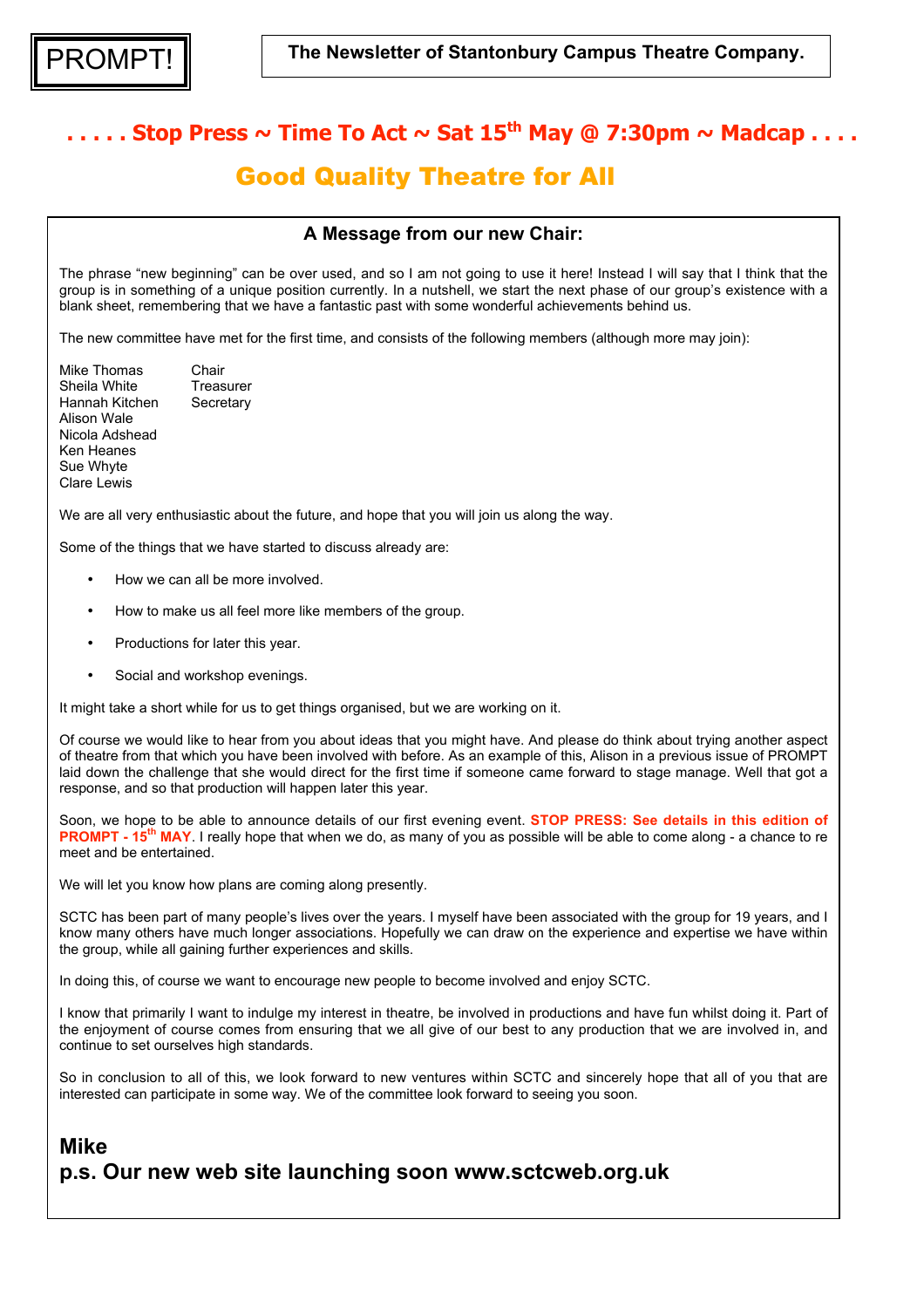# $\ldots$  Stop Press  $\sim$  Time To Act  $\sim$  Sat 15<sup>th</sup> May @ 7:30pm  $\sim$  Madcap  $\ldots$ . Good Quality Theatre for All

#### **A Message from our new Chair:**

The phrase "new beginning" can be over used, and so I am not going to use it here! Instead I will say that I think that the group is in something of a unique position currently. In a nutshell, we start the next phase of our group's existence with a blank sheet, remembering that we have a fantastic past with some wonderful achievements behind us.

The new committee have met for the first time, and consists of the following members (although more may join):

Mike Thomas Chair Sheila White Treasurer Hannah Kitchen Secretary Alison Wale Nicola Adshead Ken Heanes Sue Whyte Clare Lewis

We are all very enthusiastic about the future, and hope that you will join us along the way.

Some of the things that we have started to discuss already are:

- How we can all be more involved.
- How to make us all feel more like members of the group.
- Productions for later this year.
- Social and workshop evenings.

It might take a short while for us to get things organised, but we are working on it.

Of course we would like to hear from you about ideas that you might have. And please do think about trying another aspect of theatre from that which you have been involved with before. As an example of this, Alison in a previous issue of PROMPT laid down the challenge that she would direct for the first time if someone came forward to stage manage. Well that got a response, and so that production will happen later this year.

Soon, we hope to be able to announce details of our first evening event. **STOP PRESS: See details in this edition of PROMPT - 15th MAY**. I really hope that when we do, as many of you as possible will be able to come along - a chance to re meet and be entertained.

We will let you know how plans are coming along presently.

SCTC has been part of many people's lives over the years. I myself have been associated with the group for 19 years, and I know many others have much longer associations. Hopefully we can draw on the experience and expertise we have within the group, while all gaining further experiences and skills.

In doing this, of course we want to encourage new people to become involved and enjoy SCTC.

I know that primarily I want to indulge my interest in theatre, be involved in productions and have fun whilst doing it. Part of the enjoyment of course comes from ensuring that we all give of our best to any production that we are involved in, and continue to set ourselves high standards.

So in conclusion to all of this, we look forward to new ventures within SCTC and sincerely hope that all of you that are interested can participate in some way. We of the committee look forward to seeing you soon.

### **Mike p.s. Our new web site launching soon www.sctcweb.org.uk**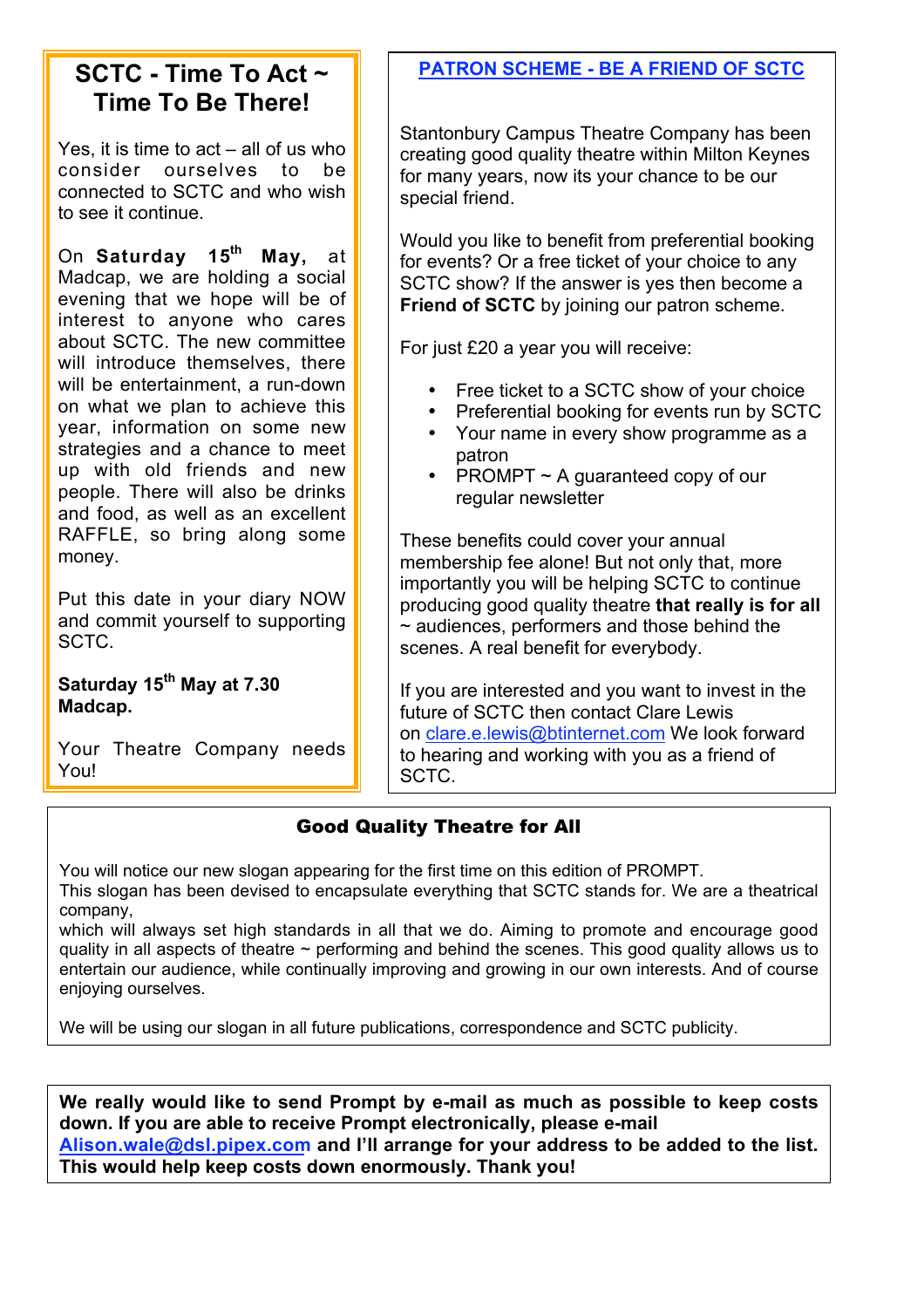## **SCTC - Time To Act ~ Time To Be There!**

Yes, it is time to act – all of us who consider ourselves to be connected to SCTC and who wish to see it continue.

On **Saturday 15th May,** at Madcap, we are holding a social evening that we hope will be of interest to anyone who cares about SCTC. The new committee will introduce themselves, there will be entertainment, a run-down on what we plan to achieve this year, information on some new strategies and a chance to meet up with old friends and new people. There will also be drinks and food, as well as an excellent RAFFLE, so bring along some money.

Put this date in your diary NOW and commit yourself to supporting SCTC.

Saturday 15<sup>th</sup> May at 7.30 **Madcap.**

Your Theatre Company needs You!

### **PATRON SCHEME - BE A FRIEND OF SCTC**

Stantonbury Campus Theatre Company has been creating good quality theatre within Milton Keynes for many years, now its your chance to be our special friend.

Would you like to benefit from preferential booking for events? Or a free ticket of your choice to any SCTC show? If the answer is yes then become a **Friend of SCTC** by joining our patron scheme.

For just £20 a year you will receive:

- Free ticket to a SCTC show of your choice
- Preferential booking for events run by SCTC
- Your name in every show programme as a patron
- PROMPT ~ A guaranteed copy of our regular newsletter

These benefits could cover your annual membership fee alone! But not only that, more importantly you will be helping SCTC to continue producing good quality theatre **that really is for all**  $\sim$  audiences, performers and those behind the scenes. A real benefit for everybody.

If you are interested and you want to invest in the future of SCTC then contact Clare Lewis on clare.e.lewis@btinternet.com We look forward to hearing and working with you as a friend of SCTC.

#### Good Quality Theatre for All

You will notice our new slogan appearing for the first time on this edition of PROMPT. This slogan has been devised to encapsulate everything that SCTC stands for. We are a theatrical company,

which will always set high standards in all that we do. Aiming to promote and encourage good quality in all aspects of theatre  $\sim$  performing and behind the scenes. This good quality allows us to entertain our audience, while continually improving and growing in our own interests. And of course enjoying ourselves.

We will be using our slogan in all future publications, correspondence and SCTC publicity.

**We really would like to send Prompt by e-mail as much as possible to keep costs down. If you are able to receive Prompt electronically, please e-mail Alison.wale@dsl.pipex.com and I'll arrange for your address to be added to the list. This would help keep costs down enormously. Thank you!**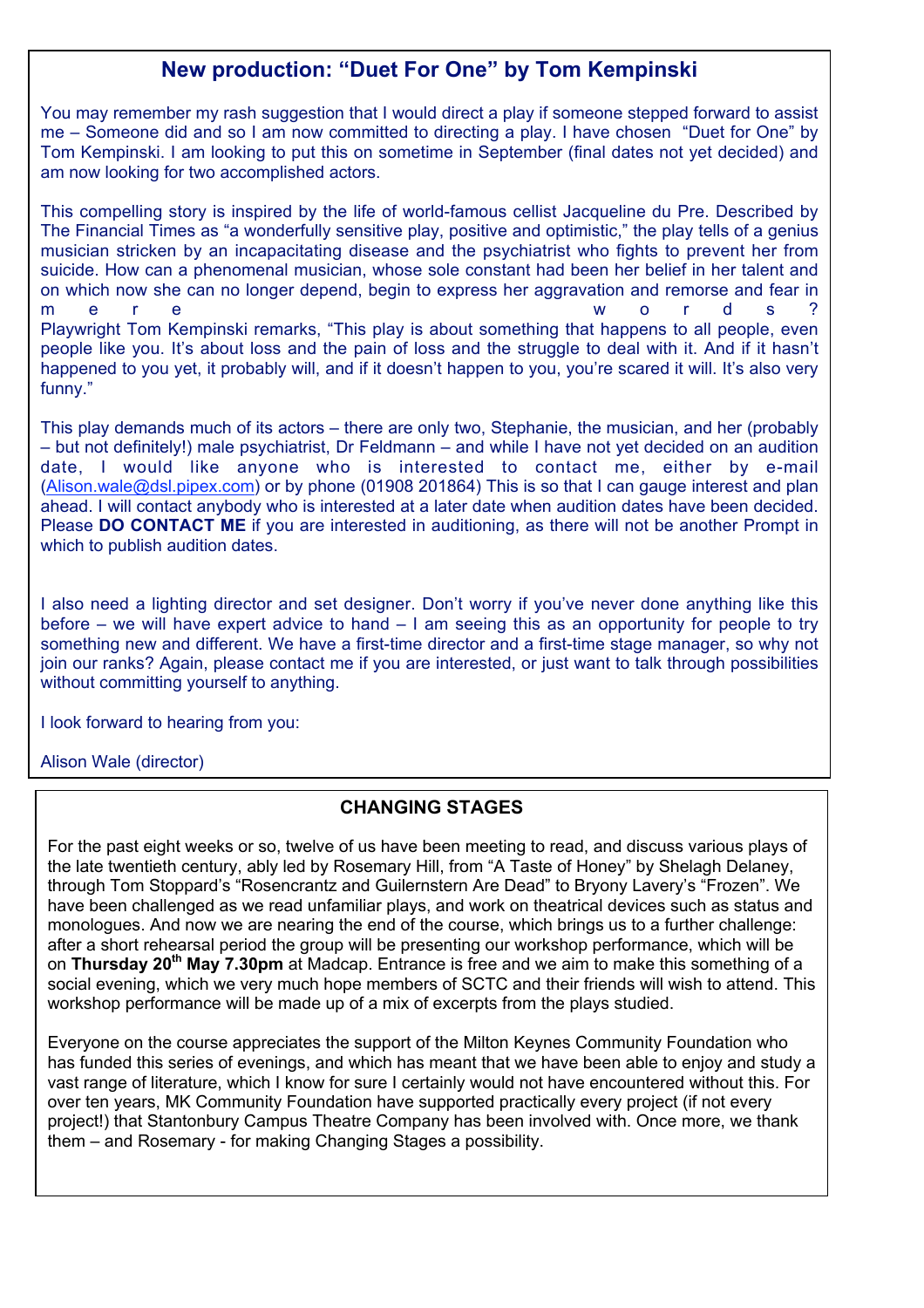#### **New production: "Duet For One" by Tom Kempinski**

You may remember my rash suggestion that I would direct a play if someone stepped forward to assist me – Someone did and so I am now committed to directing a play. I have chosen "Duet for One" by Tom Kempinski. I am looking to put this on sometime in September (final dates not yet decided) and am now looking for two accomplished actors.

This compelling story is inspired by the life of world-famous cellist Jacqueline du Pre. Described by The Financial Times as "a wonderfully sensitive play, positive and optimistic," the play tells of a genius musician stricken by an incapacitating disease and the psychiatrist who fights to prevent her from suicide. How can a phenomenal musician, whose sole constant had been her belief in her talent and on which now she can no longer depend, begin to express her aggravation and remorse and fear in mere words? Playwright Tom Kempinski remarks, "This play is about something that happens to all people, even people like you. It's about loss and the pain of loss and the struggle to deal with it. And if it hasn't happened to you yet, it probably will, and if it doesn't happen to you, you're scared it will. It's also very funny."

This play demands much of its actors – there are only two, Stephanie, the musician, and her (probably – but not definitely!) male psychiatrist, Dr Feldmann – and while I have not yet decided on an audition date, I would like anyone who is interested to contact me, either by e-mail (Alison.wale@dsl.pipex.com) or by phone (01908 201864) This is so that I can gauge interest and plan ahead. I will contact anybody who is interested at a later date when audition dates have been decided. Please **DO CONTACT ME** if you are interested in auditioning, as there will not be another Prompt in which to publish audition dates.

I also need a lighting director and set designer. Don't worry if you've never done anything like this before – we will have expert advice to hand – I am seeing this as an opportunity for people to try something new and different. We have a first-time director and a first-time stage manager, so why not join our ranks? Again, please contact me if you are interested, or just want to talk through possibilities without committing yourself to anything.

I look forward to hearing from you:

Alison Wale (director)

#### **CHANGING STAGES**

For the past eight weeks or so, twelve of us have been meeting to read, and discuss various plays of the late twentieth century, ably led by Rosemary Hill, from "A Taste of Honey" by Shelagh Delaney, through Tom Stoppard's "Rosencrantz and Guilernstern Are Dead" to Bryony Lavery's "Frozen". We have been challenged as we read unfamiliar plays, and work on theatrical devices such as status and monologues. And now we are nearing the end of the course, which brings us to a further challenge: after a short rehearsal period the group will be presenting our workshop performance, which will be on **Thursday 20th May 7.30pm** at Madcap. Entrance is free and we aim to make this something of a social evening, which we very much hope members of SCTC and their friends will wish to attend. This workshop performance will be made up of a mix of excerpts from the plays studied.

Everyone on the course appreciates the support of the Milton Keynes Community Foundation who has funded this series of evenings, and which has meant that we have been able to enjoy and study a vast range of literature, which I know for sure I certainly would not have encountered without this. For over ten years, MK Community Foundation have supported practically every project (if not every project!) that Stantonbury Campus Theatre Company has been involved with. Once more, we thank them – and Rosemary - for making Changing Stages a possibility.